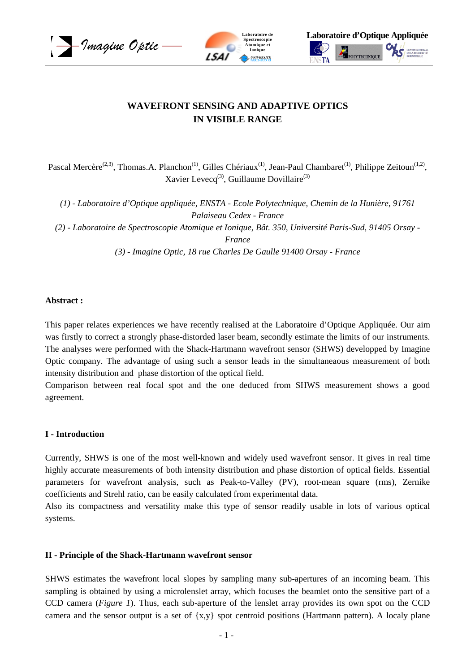





# **WAVEFRONT SENSING AND ADAPTIVE OPTICS IN VISIBLE RANGE**

Pascal Mercère<sup>(2,3)</sup>, Thomas.A. Planchon<sup>(1)</sup>, Gilles Chériaux<sup>(1)</sup>, Jean-Paul Chambaret<sup>(1)</sup>, Philippe Zeitoun<sup>(1,2)</sup>, Xavier Levecq<sup>(3)</sup>, Guillaume Dovillaire<sup>(3)</sup>

*(1) - Laboratoire d'Optique appliquée, ENSTA - Ecole Polytechnique, Chemin de la Hunière, 91761 Palaiseau Cedex - France (2) - Laboratoire de Spectroscopie Atomique et Ionique, Bât. 350, Université Paris-Sud, 91405 Orsay - France (3) - Imagine Optic, 18 rue Charles De Gaulle 91400 Orsay - France* 

#### **Abstract :**

This paper relates experiences we have recently realised at the Laboratoire d'Optique Appliquée. Our aim was firstly to correct a strongly phase-distorded laser beam, secondly estimate the limits of our instruments. The analyses were performed with the Shack-Hartmann wavefront sensor (SHWS) developped by Imagine Optic company. The advantage of using such a sensor leads in the simultaneaous measurement of both intensity distribution and phase distortion of the optical field.

Comparison between real focal spot and the one deduced from SHWS measurement shows a good agreement.

#### **I - Introduction**

Currently, SHWS is one of the most well-known and widely used wavefront sensor. It gives in real time highly accurate measurements of both intensity distribution and phase distortion of optical fields. Essential parameters for wavefront analysis, such as Peak-to-Valley (PV), root-mean square (rms), Zernike coefficients and Strehl ratio, can be easily calculated from experimental data.

Also its compactness and versatility make this type of sensor readily usable in lots of various optical systems.

#### **II - Principle of the Shack-Hartmann wavefront sensor**

SHWS estimates the wavefront local slopes by sampling many sub-apertures of an incoming beam. This sampling is obtained by using a microlenslet array, which focuses the beamlet onto the sensitive part of a CCD camera (*Figure 1*). Thus, each sub-aperture of the lenslet array provides its own spot on the CCD camera and the sensor output is a set of {x,y} spot centroid positions (Hartmann pattern). A localy plane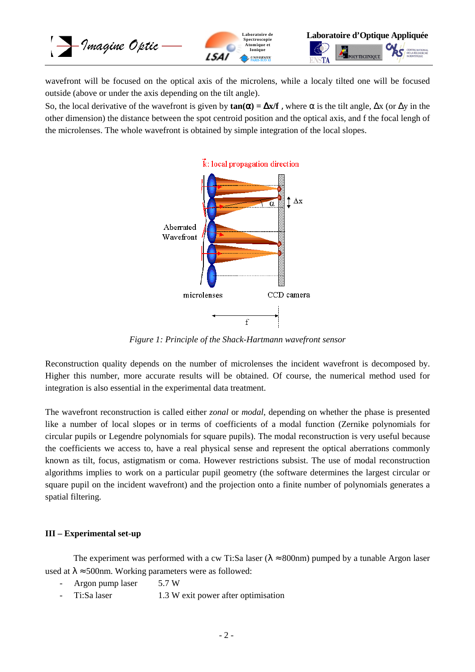

wavefront will be focused on the optical axis of the microlens, while a localy tilted one will be focused outside (above or under the axis depending on the tilt angle).

So, the local derivative of the wavefront is given by  $\tan(\alpha) = \Delta x/f$ , where  $\alpha$  is the tilt angle,  $\Delta x$  (or  $\Delta y$  in the other dimension) the distance between the spot centroid position and the optical axis, and f the focal lengh of the microlenses. The whole wavefront is obtained by simple integration of the local slopes.



*Figure 1: Principle of the Shack-Hartmann wavefront sensor* 

Reconstruction quality depends on the number of microlenses the incident wavefront is decomposed by. Higher this number, more accurate results will be obtained. Of course, the numerical method used for integration is also essential in the experimental data treatment.

The wavefront reconstruction is called either *zonal* or *modal*, depending on whether the phase is presented like a number of local slopes or in terms of coefficients of a modal function (Zernike polynomials for circular pupils or Legendre polynomials for square pupils). The modal reconstruction is very useful because the coefficients we access to, have a real physical sense and represent the optical aberrations commonly known as tilt, focus, astigmatism or coma. However restrictions subsist. The use of modal reconstruction algorithms implies to work on a particular pupil geometry (the software determines the largest circular or square pupil on the incident wavefront) and the projection onto a finite number of polynomials generates a spatial filtering.

#### **III – Experimental set-up**

The experiment was performed with a cw Ti:Sa laser ( $\lambda \approx 800$ nm) pumped by a tunable Argon laser used at  $\lambda \approx 500$ nm. Working parameters were as followed:

- Argon pump laser 5.7 W
- Ti:Sa laser 1.3 W exit power after optimisation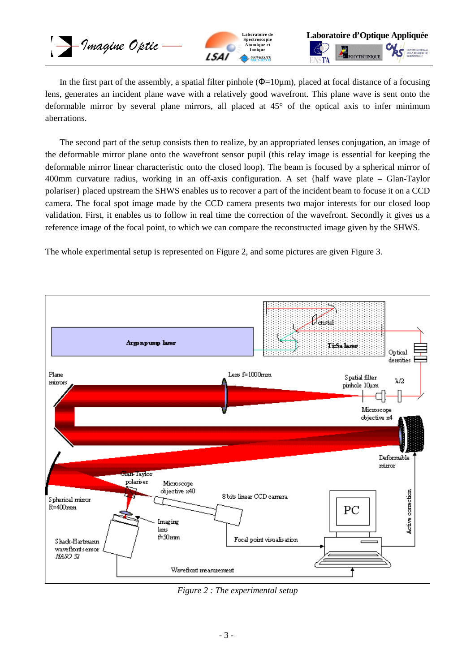– Imagine Optic





In the first part of the assembly, a spatial filter pinhole  $(\Phi=10\mu m)$ , placed at focal distance of a focusing lens, generates an incident plane wave with a relatively good wavefront. This plane wave is sent onto the deformable mirror by several plane mirrors, all placed at 45° of the optical axis to infer minimum aberrations.

The second part of the setup consists then to realize, by an appropriated lenses conjugation, an image of the deformable mirror plane onto the wavefront sensor pupil (this relay image is essential for keeping the deformable mirror linear characteristic onto the closed loop). The beam is focused by a spherical mirror of 400mm curvature radius, working in an off-axis configuration. A set {half wave plate – Glan-Taylor polariser} placed upstream the SHWS enables us to recover a part of the incident beam to focuse it on a CCD camera. The focal spot image made by the CCD camera presents two major interests for our closed loop validation. First, it enables us to follow in real time the correction of the wavefront. Secondly it gives us a reference image of the focal point, to which we can compare the reconstructed image given by the SHWS.

The whole experimental setup is represented on Figure 2, and some pictures are given Figure 3.



*Figure 2 : The experimental setup*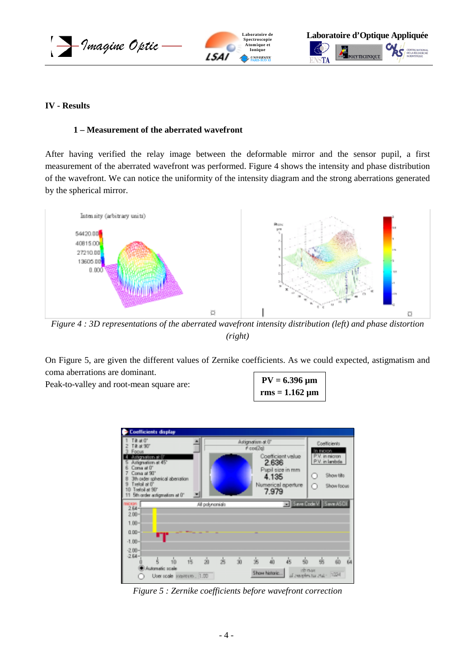





### **IV - Results**

#### **1 – Measurement of the aberrated wavefront**

After having verified the relay image between the deformable mirror and the sensor pupil, a first measurement of the aberrated wavefront was performed. Figure 4 shows the intensity and phase distribution of the wavefront. We can notice the uniformity of the intensity diagram and the strong aberrations generated by the spherical mirror.



*Figure 4 : 3D representations of the aberrated wavefront intensity distribution (left) and phase distortion (right)* 

On Figure 5, are given the different values of Zernike coefficients. As we could expected, astigmatism and coma aberrations are dominant.

Peak-to-valley and root-mean square are:

| $PV = 6.396 \mu m$  |
|---------------------|
| $rms = 1.162 \mu m$ |



*Figure 5 : Zernike coefficients before wavefront correction*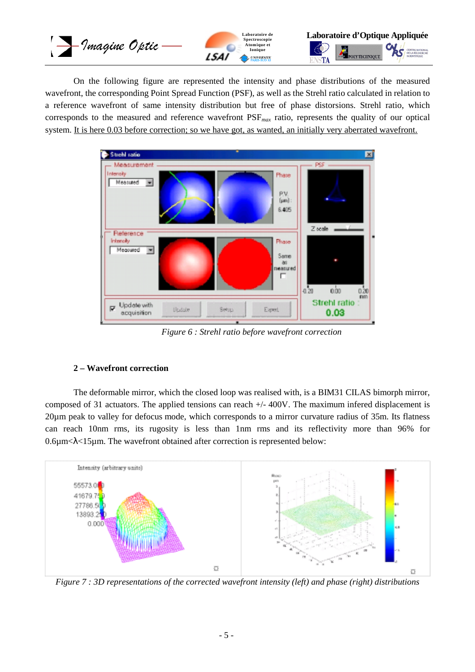

 On the following figure are represented the intensity and phase distributions of the measured wavefront, the corresponding Point Spread Function (PSF), as well as the Strehl ratio calculated in relation to a reference wavefront of same intensity distribution but free of phase distorsions. Strehl ratio, which corresponds to the measured and reference wavefront PSF*max* ratio, represents the quality of our optical system. It is here 0.03 before correction; so we have got, as wanted, an initially very aberrated wavefront.



*Figure 6 : Strehl ratio before wavefront correction* 

## **2 – Wavefront correction**

 The deformable mirror, which the closed loop was realised with, is a BIM31 CILAS bimorph mirror, composed of 31 actuators. The applied tensions can reach +/- 400V. The maximum infered displacement is 20µm peak to valley for defocus mode, which corresponds to a mirror curvature radius of 35m. Its flatness can reach 10nm rms, its rugosity is less than 1nm rms and its reflectivity more than 96% for  $0.6\mu$ m $\lt$  $\lambda$  $\lt$ 15 $\mu$ m. The wavefront obtained after correction is represented below:



*Figure 7 : 3D representations of the corrected wavefront intensity (left) and phase (right) distributions*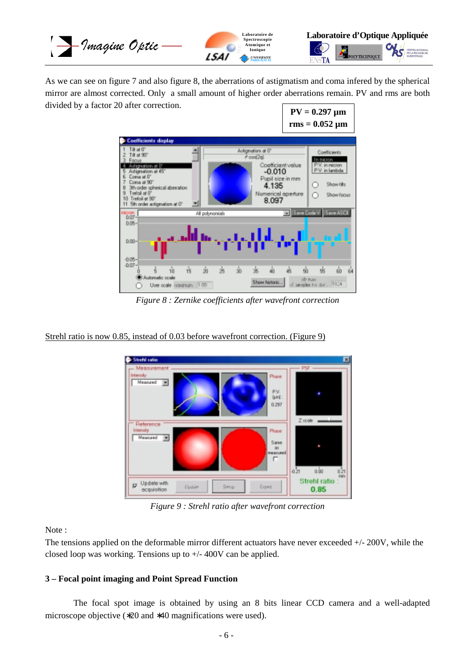

As we can see on figure 7 and also figure 8, the aberrations of astigmatism and coma infered by the spherical mirror are almost corrected. Only a small amount of higher order aberrations remain. PV and rms are both divided by a factor 20 after correction.



*Figure 8 : Zernike coefficients after wavefront correction* 

## Strehl ratio is now 0.85, instead of 0.03 before wavefront correction. (Figure 9)



*Figure 9 : Strehl ratio after wavefront correction* 

Note :

The tensions applied on the deformable mirror different actuators have never exceeded +/- 200V, while the closed loop was working. Tensions up to +/- 400V can be applied.

## **3 – Focal point imaging and Point Spread Function**

 The focal spot image is obtained by using an 8 bits linear CCD camera and a well-adapted microscope objective (∗20 and ∗40 magnifications were used).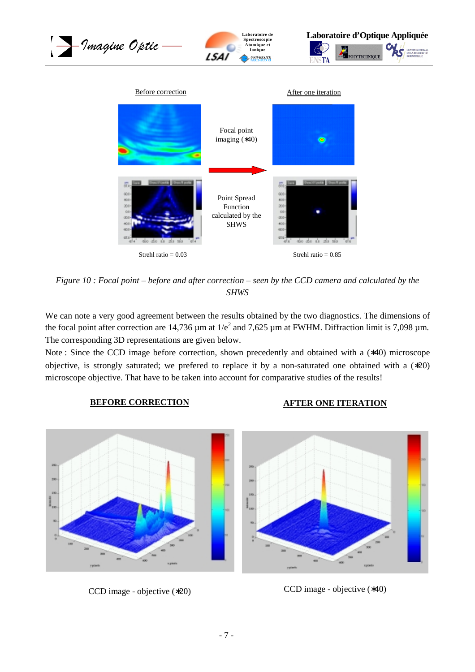

*Figure 10 : Focal point – before and after correction – seen by the CCD camera and calculated by the SHWS* 

We can note a very good agreement between the results obtained by the two diagnostics. The dimensions of the focal point after correction are 14,736  $\mu$ m at 1/e<sup>2</sup> and 7,625  $\mu$ m at FWHM. Diffraction limit is 7,098  $\mu$ m. The corresponding 3D representations are given below.

Note : Since the CCD image before correction, shown precedently and obtained with a (∗40) microscope objective, is strongly saturated; we prefered to replace it by a non-saturated one obtained with a (∗20) microscope objective. That have to be taken into account for comparative studies of the results!

## **BEFORE CORRECTION AFTER ONE ITERATION**



CCD image - objective (\*20) CCD image - objective (\*40)